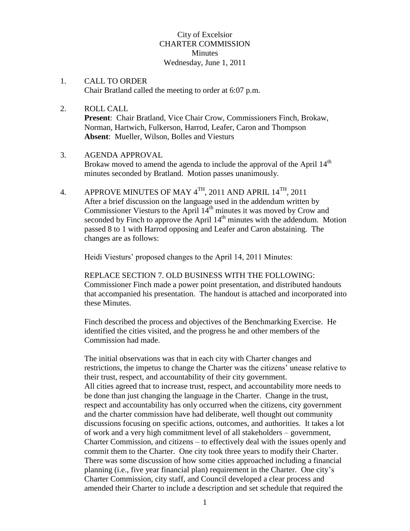# City of Excelsior CHARTER COMMISSION **Minutes** Wednesday, June 1, 2011

- 1. CALL TO ORDER Chair Bratland called the meeting to order at 6:07 p.m.
- 2. ROLL CALL **Present**: Chair Bratland, Vice Chair Crow, Commissioners Finch, Brokaw, Norman, Hartwich, Fulkerson, Harrod, Leafer, Caron and Thompson **Absent**: Mueller, Wilson, Bolles and Viesturs

#### 3. AGENDA APPROVAL

Brokaw moved to amend the agenda to include the approval of the April  $14<sup>th</sup>$ minutes seconded by Bratland. Motion passes unanimously.

4. APPROVE MINUTES OF MAY  $4^{TH}$ , 2011 AND APRIL  $14^{TH}$ , 2011 After a brief discussion on the language used in the addendum written by Commissioner Viesturs to the April  $14<sup>th</sup>$  minutes it was moved by Crow and seconded by Finch to approve the April  $14<sup>th</sup>$  minutes with the addendum. Motion passed 8 to 1 with Harrod opposing and Leafer and Caron abstaining. The changes are as follows:

Heidi Viesturs' proposed changes to the April 14, 2011 Minutes:

REPLACE SECTION 7. OLD BUSINESS WITH THE FOLLOWING: Commissioner Finch made a power point presentation, and distributed handouts that accompanied his presentation. The handout is attached and incorporated into these Minutes.

Finch described the process and objectives of the Benchmarking Exercise. He identified the cities visited, and the progress he and other members of the Commission had made.

The initial observations was that in each city with Charter changes and restrictions, the impetus to change the Charter was the citizens' unease relative to their trust, respect, and accountability of their city government. All cities agreed that to increase trust, respect, and accountability more needs to be done than just changing the language in the Charter. Change in the trust, respect and accountability has only occurred when the citizens, city government and the charter commission have had deliberate, well thought out community discussions focusing on specific actions, outcomes, and authorities. It takes a lot of work and a very high commitment level of all stakeholders – government, Charter Commission, and citizens – to effectively deal with the issues openly and commit them to the Charter. One city took three years to modify their Charter. There was some discussion of how some cities approached including a financial planning (i.e., five year financial plan) requirement in the Charter. One city's Charter Commission, city staff, and Council developed a clear process and amended their Charter to include a description and set schedule that required the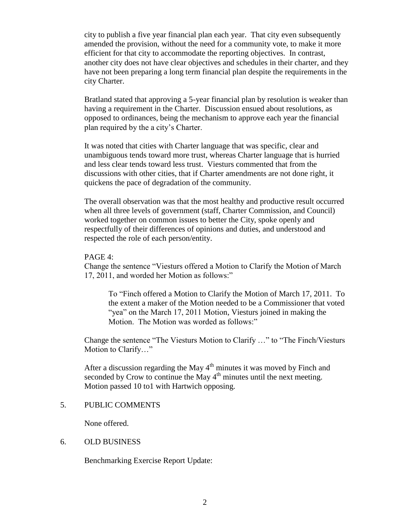city to publish a five year financial plan each year. That city even subsequently amended the provision, without the need for a community vote, to make it more efficient for that city to accommodate the reporting objectives. In contrast, another city does not have clear objectives and schedules in their charter, and they have not been preparing a long term financial plan despite the requirements in the city Charter.

Bratland stated that approving a 5-year financial plan by resolution is weaker than having a requirement in the Charter. Discussion ensued about resolutions, as opposed to ordinances, being the mechanism to approve each year the financial plan required by the a city's Charter.

It was noted that cities with Charter language that was specific, clear and unambiguous tends toward more trust, whereas Charter language that is hurried and less clear tends toward less trust. Viesturs commented that from the discussions with other cities, that if Charter amendments are not done right, it quickens the pace of degradation of the community.

The overall observation was that the most healthy and productive result occurred when all three levels of government (staff, Charter Commission, and Council) worked together on common issues to better the City, spoke openly and respectfully of their differences of opinions and duties, and understood and respected the role of each person/entity.

#### PAGE 4:

Change the sentence "Viesturs offered a Motion to Clarify the Motion of March 17, 2011, and worded her Motion as follows:"

To "Finch offered a Motion to Clarify the Motion of March 17, 2011. To the extent a maker of the Motion needed to be a Commissioner that voted "yea" on the March 17, 2011 Motion, Viesturs joined in making the Motion. The Motion was worded as follows:"

Change the sentence "The Viesturs Motion to Clarify …" to "The Finch/Viesturs Motion to Clarify…"

After a discussion regarding the May  $4<sup>th</sup>$  minutes it was moved by Finch and seconded by Crow to continue the May  $4<sup>th</sup>$  minutes until the next meeting. Motion passed 10 to1 with Hartwich opposing.

## 5. PUBLIC COMMENTS

None offered.

#### 6. OLD BUSINESS

Benchmarking Exercise Report Update: